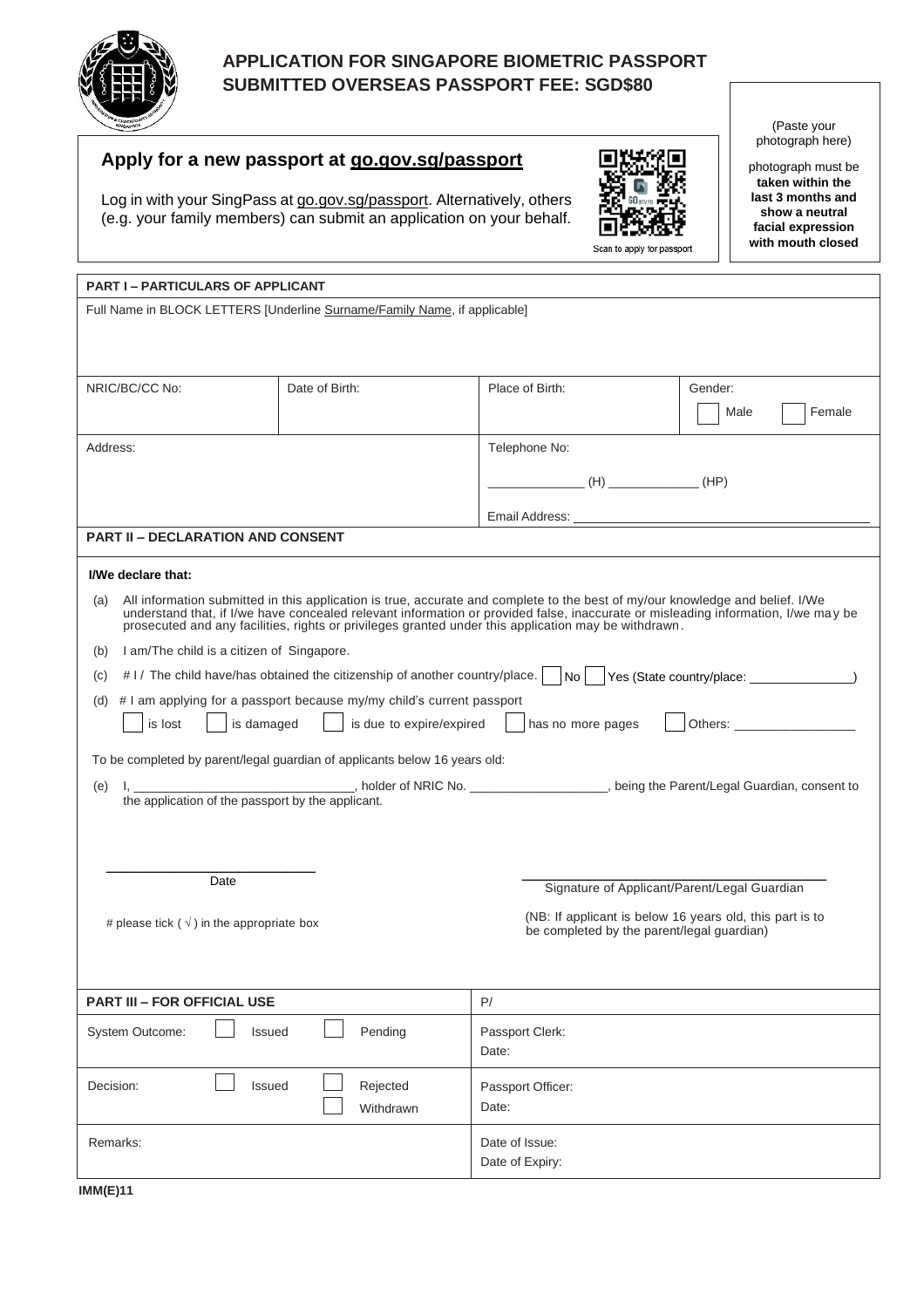

# **APPLICATION FOR SINGAPORE BIOMETRIC PASSPORT SUBMITTED OVERSEAS PASSPORT FEE: SGD\$80**

# **Apply for a new passport at go.gov.sg/passport**

Log in with your SingPass at go.gov.sg/passport. Alternatively, others (e.g. your family members) can submit an application on your behalf.



(Paste your photograph here)

photograph must be **taken within the last 3 months and show a neutral facial expression with mouth closed**

| <b>PART I-PARTICULARS OF APPLICANT</b>                                                                                                                                                                                                                                                                                                                                            |                |                                                          |                |
|-----------------------------------------------------------------------------------------------------------------------------------------------------------------------------------------------------------------------------------------------------------------------------------------------------------------------------------------------------------------------------------|----------------|----------------------------------------------------------|----------------|
| Full Name in BLOCK LETTERS [Underline Surname/Family Name, if applicable]                                                                                                                                                                                                                                                                                                         |                |                                                          |                |
|                                                                                                                                                                                                                                                                                                                                                                                   |                |                                                          |                |
|                                                                                                                                                                                                                                                                                                                                                                                   |                |                                                          |                |
| NRIC/BC/CC No:                                                                                                                                                                                                                                                                                                                                                                    | Date of Birth: | Place of Birth:                                          | Gender:        |
|                                                                                                                                                                                                                                                                                                                                                                                   |                |                                                          | Female<br>Male |
| Address:                                                                                                                                                                                                                                                                                                                                                                          |                | Telephone No:                                            |                |
|                                                                                                                                                                                                                                                                                                                                                                                   |                | $(H)$ (H) $(H)$ (HP)                                     |                |
|                                                                                                                                                                                                                                                                                                                                                                                   |                | Email Address:                                           |                |
| <b>PART II - DECLARATION AND CONSENT</b>                                                                                                                                                                                                                                                                                                                                          |                |                                                          |                |
| I/We declare that:                                                                                                                                                                                                                                                                                                                                                                |                |                                                          |                |
|                                                                                                                                                                                                                                                                                                                                                                                   |                |                                                          |                |
| All information submitted in this application is true, accurate and complete to the best of my/our knowledge and belief. I/We<br>(a)<br>understand that, if I/we have concealed relevant information or provided false, inaccurate or misleading information, I/we may be<br>prosecuted and any facilities, rights or privileges granted under this application may be withdrawn. |                |                                                          |                |
| I am/The child is a citizen of Singapore.<br>(b)                                                                                                                                                                                                                                                                                                                                  |                |                                                          |                |
| #1/ The child have/has obtained the citizenship of another country/place.<br>Yes (State country/place: _________________)<br> No <br>(C)                                                                                                                                                                                                                                          |                |                                                          |                |
| (d) $\#$ I am applying for a passport because my/my child's current passport                                                                                                                                                                                                                                                                                                      |                |                                                          |                |
| is due to expire/expired<br>is lost<br>is damaged<br>has no more pages                                                                                                                                                                                                                                                                                                            |                |                                                          |                |
| To be completed by parent/legal guardian of applicants below 16 years old:                                                                                                                                                                                                                                                                                                        |                |                                                          |                |
| (e)                                                                                                                                                                                                                                                                                                                                                                               |                |                                                          |                |
| I, _____________________, holder of NRIC No. ____________________, being the Parent/Legal Guardian, consent to the application of the passport by the applicant.                                                                                                                                                                                                                  |                |                                                          |                |
|                                                                                                                                                                                                                                                                                                                                                                                   |                |                                                          |                |
|                                                                                                                                                                                                                                                                                                                                                                                   |                |                                                          |                |
| Date                                                                                                                                                                                                                                                                                                                                                                              |                | Signature of Applicant/Parent/Legal Guardian             |                |
| # please tick ( $\sqrt{}$ ) in the appropriate box                                                                                                                                                                                                                                                                                                                                |                | (NB: If applicant is below 16 years old, this part is to |                |
| be completed by the parent/legal guardian)                                                                                                                                                                                                                                                                                                                                        |                |                                                          |                |
|                                                                                                                                                                                                                                                                                                                                                                                   |                |                                                          |                |
| <b>PART III - FOR OFFICIAL USE</b>                                                                                                                                                                                                                                                                                                                                                |                | P/                                                       |                |
| System Outcome:<br>Pending<br>Issued                                                                                                                                                                                                                                                                                                                                              |                | Passport Clerk:                                          |                |
|                                                                                                                                                                                                                                                                                                                                                                                   |                | Date:                                                    |                |
| Rejected<br>Decision:<br>Issued                                                                                                                                                                                                                                                                                                                                                   |                | Passport Officer:                                        |                |
|                                                                                                                                                                                                                                                                                                                                                                                   | Withdrawn      | Date:                                                    |                |
| Remarks:                                                                                                                                                                                                                                                                                                                                                                          |                | Date of Issue:                                           |                |
|                                                                                                                                                                                                                                                                                                                                                                                   |                | Date of Expiry:                                          |                |

**IMM(E)11**